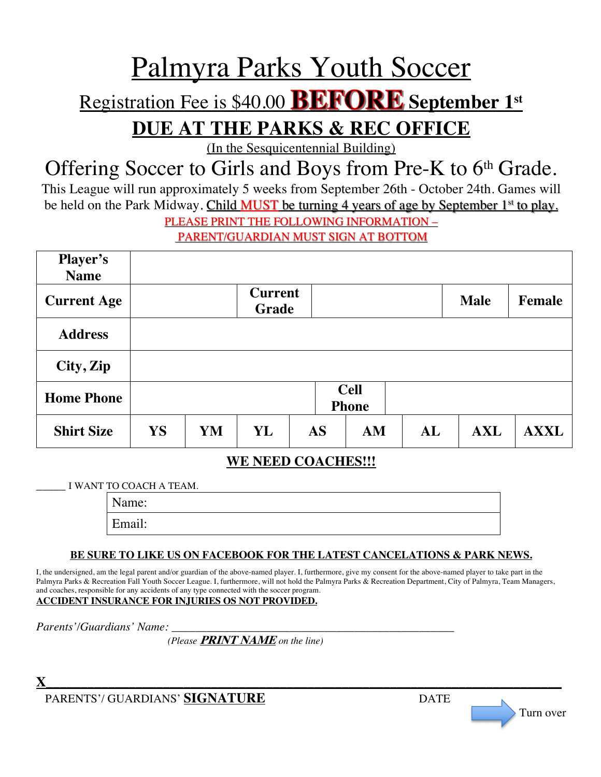# Palmyra Parks Youth Soccer

# Registration Fee is \$40.00 **BEFORE** September 1st

**DUE AT THE PARKS & REC OFFICE** 

(In the Sesquicentennial Building)

## Offering Soccer to Girls and Boys from Pre-K to 6<sup>th</sup> Grade.

This League will run approximately 5 weeks from September 26th - October 24th. Games will be held on the Park Midway. Child MUST be turning 4 years of age by September 1<sup>st</sup> to play.

PLEASE PRINT THE FOLLOWING INFORMATION –

PARENT/GUARDIAN MUST SIGN AT BOTTOM

| <b>Player's</b><br><b>Name</b> |                             |    |                         |           |    |    |             |             |
|--------------------------------|-----------------------------|----|-------------------------|-----------|----|----|-------------|-------------|
| <b>Current Age</b>             |                             |    | <b>Current</b><br>Grade |           |    |    | <b>Male</b> | Female      |
| <b>Address</b>                 |                             |    |                         |           |    |    |             |             |
| City, Zip                      |                             |    |                         |           |    |    |             |             |
| <b>Home Phone</b>              | <b>Cell</b><br><b>Phone</b> |    |                         |           |    |    |             |             |
| <b>Shirt Size</b>              | YS                          | YM | YL                      | <b>AS</b> | AM | AL | <b>AXL</b>  | <b>AXXL</b> |

#### **WE NEED COACHES!!!**

\_\_\_\_\_ I WANT TO COACH A TEAM.

Name:

Email:

#### **BE SURE TO LIKE US ON FACEBOOK FOR THE LATEST CANCELATIONS & PARK NEWS.**

I, the undersigned, am the legal parent and/or guardian of the above-named player. I, furthermore, give my consent for the above-named player to take part in the Palmyra Parks & Recreation Fall Youth Soccer League. I, furthermore, will not hold the Palmyra Parks & Recreation Department, City of Palmyra, Team Managers, and coaches, responsible for any accidents of any type connected with the soccer program. **ACCIDENT INSURANCE FOR INJURIES OS NOT PROVIDED.**

*Parents'/Guardians' Name:* 

 *(Please* **PRINT NAME** *on the line)*

 $\bf{X}$  and the set of the set of the set of the set of the set of the set of the set of the set of the set of the set of the set of the set of the set of the set of the set of the set of the set of the set of the set of PARENTS'/ GUARDIANS' SIGNATURE DATE